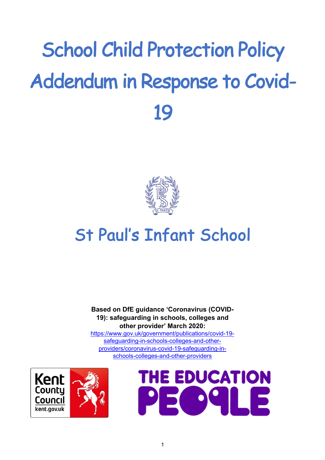# School Child Protection Policy Addendum in Response to Covid-19



# St Paul's Infant School

**Based on DfE guidance 'Coronavirus (COVID-19): safeguarding in schools, colleges and other provider' March 2020:** 

https://www.gov.uk/government/publications/covid-19 safeguarding-in-schools-colleges-and-otherproviders/coronavirus-covid-19-safeguarding-inschools-colleges-and-other-providers



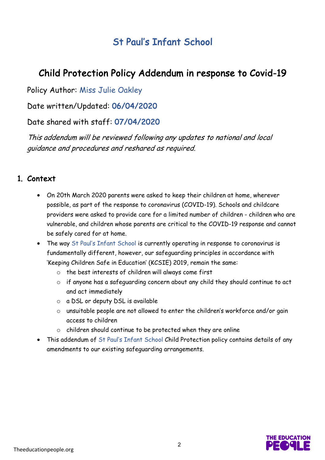# St Paul's Infant School

## Child Protection Policy Addendum in response to Covid-19

Policy Author: Miss Julie Oakley

Date written/Updated: 06/04/2020

Date shared with staff: 07/04/2020

This addendum will be reviewed following any updates to national and local guidance and procedures and reshared as required.

#### 1. Context

- On 20th March 2020 parents were asked to keep their children at home, wherever possible, as part of the response to coronavirus (COVID-19). Schools and childcare providers were asked to provide care for a limited number of children - children who are vulnerable, and children whose parents are critical to the COVID-19 response and cannot be safely cared for at home.
- The way St Paul's Infant School is currently operating in response to coronavirus is fundamentally different, however, our safeguarding principles in accordance with 'Keeping Children Safe in Education' (KCSIE) 2019, remain the same:
	- o the best interests of children will always come first
	- o if anyone has a safeguarding concern about any child they should continue to act and act immediately
	- o a DSL or deputy DSL is available
	- o unsuitable people are not allowed to enter the children's workforce and/or gain access to children
	- o children should continue to be protected when they are online
- This addendum of St Paul's Infant School Child Protection policy contains details of any amendments to our existing safeguarding arrangements.

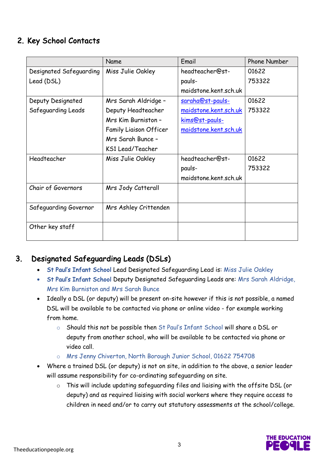#### 2. Key School Contacts

|                         | Name                          | Email                   | <b>Phone Number</b> |
|-------------------------|-------------------------------|-------------------------|---------------------|
| Designated Safeguarding | Miss Julie Oakley             | headteacher@st-         | 01622               |
| Lead (DSL)              |                               | pauls-                  | 753322              |
|                         |                               | maidstone.kent.sch.uk   |                     |
| Deputy Designated       | Mrs Sarah Aldridge -          | <u>saraha@st-pauls-</u> | 01622               |
| Safeguarding Leads      | Deputy Headteacher            | maidstone.kent.sch.uk   | 753322              |
|                         | Mrs Kim Burniston -           | kims@st-pauls-          |                     |
|                         | <b>Family Liaison Officer</b> | maidstone.kent.sch.uk   |                     |
|                         | Mrs Sarah Bunce -             |                         |                     |
|                         | KS1 Lead/Teacher              |                         |                     |
| Headteacher             | Miss Julie Oakley             | headteacher@st-         | 01622               |
|                         |                               | pauls-                  | 753322              |
|                         |                               | maidstone.kent.sch.uk   |                     |
| Chair of Governors      | Mrs Jody Catterall            |                         |                     |
|                         |                               |                         |                     |
| Safeguarding Governor   | Mrs Ashley Crittenden         |                         |                     |
|                         |                               |                         |                     |
| Other key staff         |                               |                         |                     |
|                         |                               |                         |                     |

### 3. Designated Safeguarding Leads (DSLs)

- St Paul's Infant School Lead Designated Safeguarding Lead is: Miss Julie Oakley
- St Paul's Infant School Deputy Designated Safeguarding Leads are: Mrs Sarah Aldridge, Mrs Kim Burniston and Mrs Sarah Bunce
- Ideally a DSL (or deputy) will be present on-site however if this is not possible, a named DSL will be available to be contacted via phone or online video - for example working from home.
	- o Should this not be possible then St Paul's Infant School will share a DSL or deputy from another school, who will be available to be contacted via phone or video call.
	- o Mrs Jenny Chiverton, North Borough Junior School, 01622 754708
- Where a trained DSL (or deputy) is not on site, in addition to the above, a senior leader will assume responsibility for co-ordinating safeguarding on site.
	- o This will include updating safeguarding files and liaising with the offsite DSL (or deputy) and as required liaising with social workers where they require access to children in need and/or to carry out statutory assessments at the school/college.

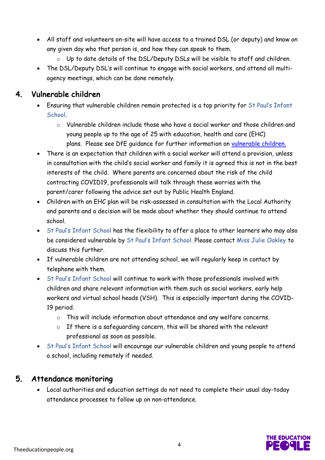- All staff and volunteers on-site will have access to a trained DSL (or deputy) and know on any given day who that person is, and how they can speak to them.
	- o Up to date details of the DSL/Deputy DSLs will be visible to staff and children.
- The DSL/Deputy DSL's will continue to engage with social workers, and attend all multiagency meetings, which can be done remotely.

#### 4. Vulnerable children

- Ensuring that vulnerable children remain protected is a top priority for St Paul's Infant School.
	- o Vulnerable children include those who have a social worker and those children and young people up to the age of 25 with education, health and care (EHC) plans. Please see DfE guidance for further information on vulnerable children.
- There is an expectation that children with a social worker will attend a provision, unless in consultation with the child's social worker and family it is agreed this is not in the best interests of the child. Where parents are concerned about the risk of the child contracting COVID19, professionals will talk through these worries with the parent/carer following the advice set out by Public Health England.
- Children with an EHC plan will be risk-assessed in consultation with the Local Authority and parents and a decision will be made about whether they should continue to attend school.
- St Paul's Infant School has the flexibility to offer a place to other learners who may also be considered vulnerable by St Paul's Infant School. Please contact Miss Julie Oakley to discuss this further.
- If vulnerable children are not attending school, we will regularly keep in contact by telephone with them.
- St Paul's Infant School will continue to work with those professionals involved with children and share relevant information with them such as social workers, early help workers and virtual school heads (VSH). This is especially important during the COVID-19 period.
	- o This will include information about attendance and any welfare concerns.
	- o If there is a safeguarding concern, this will be shared with the relevant professional as soon as possible.
- St Paul's Infant School will encourage our vulnerable children and young people to attend a school, including remotely if needed.

#### 5. Attendance monitoring

• Local authorities and education settings do not need to complete their usual day-today attendance processes to follow up on non-attendance.

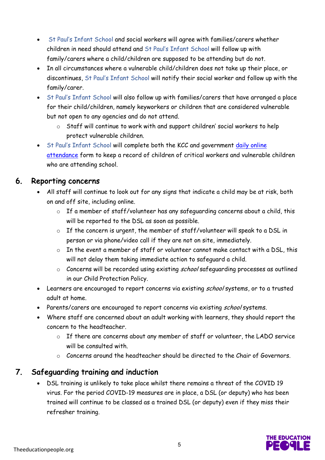- St Paul's Infant School and social workers will agree with families/carers whether children in need should attend and St Paul's Infant School will follow up with family/carers where a child/children are supposed to be attending but do not.
- In all circumstances where a vulnerable child/children does not take up their place, or discontinues, St Paul's Infant School will notify their social worker and follow up with the family/carer.
- St Paul's Infant School will also follow up with families/carers that have arranged a place for their child/children, namely keyworkers or children that are considered vulnerable but not open to any agencies and do not attend.
	- o Staff will continue to work with and support children' social workers to help protect vulnerable children.
- St Paul's Infant School will complete both the KCC and government daily online attendance form to keep a record of children of critical workers and vulnerable children who are attending school.

#### 6. Reporting concerns

- All staff will continue to look out for any signs that indicate a child may be at risk, both on and off site, including online.
	- o If a member of staff/volunteer has any safeguarding concerns about a child, this will be reported to the DSL as soon as possible.
	- o If the concern is urgent, the member of staff/volunteer will speak to a DSL in person or via phone/video call if they are not on site, immediately.
	- o In the event a member of staff or volunteer cannot make contact with a DSL, this will not delay them taking immediate action to safeguard a child.
	- $\circ$  Concerns will be recorded using existing school safequarding processes as outlined in our Child Protection Policy.
- Learners are encouraged to report concerns via existing school systems, or to a trusted adult at home.
- Parents/carers are encouraged to report concerns via existing school systems.
- Where staff are concerned about an adult working with learners, they should report the concern to the headteacher.
	- o If there are concerns about any member of staff or volunteer, the LADO service will be consulted with.
	- o Concerns around the headteacher should be directed to the Chair of Governors.

#### 7. Safeguarding training and induction

• DSL training is unlikely to take place whilst there remains a threat of the COVID 19 virus. For the period COVID-19 measures are in place, a DSL (or deputy) who has been trained will continue to be classed as a trained DSL (or deputy) even if they miss their refresher training.

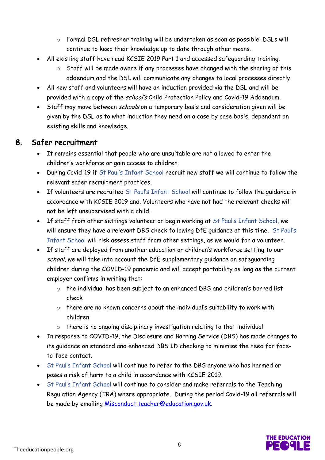- o Formal DSL refresher training will be undertaken as soon as possible. DSLs will continue to keep their knowledge up to date through other means.
- All existing staff have read KCSIE 2019 Part 1 and accessed safeguarding training.
	- o Staff will be made aware if any processes have changed with the sharing of this addendum and the DSL will communicate any changes to local processes directly.
- All new staff and volunteers will have an induction provided via the DSL and will be provided with a copy of the school's Child Protection Policy and Covid-19 Addendum.
- Staff may move between *schools* on a temporary basis and consideration given will be given by the DSL as to what induction they need on a case by case basis, dependent on existing skills and knowledge.

#### 8. Safer recruitment

- It remains essential that people who are unsuitable are not allowed to enter the children's workforce or gain access to children.
- During Covid-19 if St Paul's Infant School recruit new staff we will continue to follow the relevant safer recruitment practices.
- If volunteers are recruited St Paul's Infant School will continue to follow the guidance in accordance with KCSIE 2019 and. Volunteers who have not had the relevant checks will not be left unsupervised with a child.
- If staff from other settings volunteer or begin working at St Paul's Infant School, we will ensure they have a relevant DBS check following DfE guidance at this time. St Paul's Infant School will risk assess staff from other settings, as we would for a volunteer.
- If staff are deployed from another education or children's workforce setting to our school, we will take into account the DfE supplementary quidance on safequarding children during the COVID-19 pandemic and will accept portability as long as the current employer confirms in writing that:
	- o the individual has been subject to an enhanced DBS and children's barred list check
	- o there are no known concerns about the individual's suitability to work with children
	- o there is no ongoing disciplinary investigation relating to that individual
- In response to COVID-19, the Disclosure and Barring Service (DBS) has made changes to its guidance on standard and enhanced DBS ID checking to minimise the need for faceto-face contact.
- St Paul's Infant School will continue to refer to the DBS anyone who has harmed or poses a risk of harm to a child in accordance with KCSIE 2019.
- St Paul's Infant School will continue to consider and make referrals to the Teaching Regulation Agency (TRA) where appropriate. During the period Covid-19 all referrals will be made by emailing Misconduct.teacher@education.gov.uk.

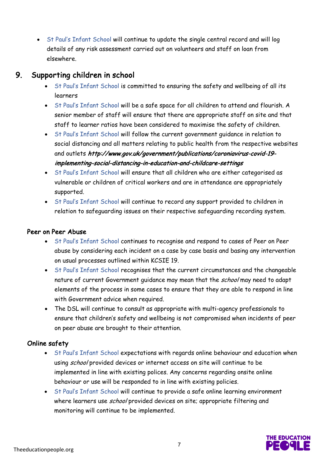• St Paul's Infant School will continue to update the single central record and will log details of any risk assessment carried out on volunteers and staff on loan from elsewhere.

#### 9. Supporting children in school

- St Paul's Infant School is committed to ensuring the safety and wellbeing of all its learners
- St Paul's Infant School will be a safe space for all children to attend and flourish. A senior member of staff will ensure that there are appropriate staff on site and that staff to learner ratios have been considered to maximise the safety of children.
- St Paul's Infant School will follow the current government guidance in relation to social distancing and all matters relating to public health from the respective websites and outlets http://www.gov.uk/government/publications/coroniavirus-covid-19 implementing-social-distancing-in-education-and-childcare-settings
- St Paul's Infant School will ensure that all children who are either categorised as vulnerable or children of critical workers and are in attendance are appropriately supported.
- St Paul's Infant School will continue to record any support provided to children in relation to safeguarding issues on their respective safeguarding recording system.

#### Peer on Peer Abuse

- St Paul's Infant School continues to recognise and respond to cases of Peer on Peer abuse by considering each incident on a case by case basis and basing any intervention on usual processes outlined within KCSIE 19.
- St Paul's Infant School recognises that the current circumstances and the changeable nature of current Government guidance may mean that the school may need to adapt elements of the process in some cases to ensure that they are able to respond in line with Government advice when required.
- The DSL will continue to consult as appropriate with multi-agency professionals to ensure that children's safety and wellbeing is not compromised when incidents of peer on peer abuse are brought to their attention.

#### Online safety

- St Paul's Infant School expectations with regards online behaviour and education when using school provided devices or internet access on site will continue to be implemented in line with existing polices. Any concerns regarding onsite online behaviour or use will be responded to in line with existing policies.
- St Paul's Infant School will continue to provide a safe online learning environment where learners use school provided devices on site; appropriate filtering and monitoring will continue to be implemented.

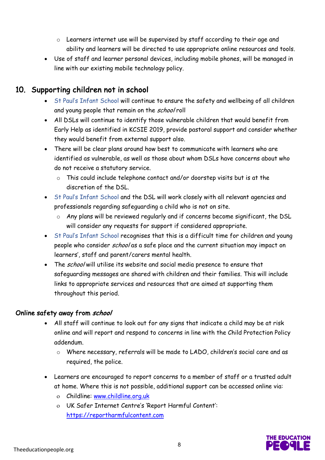- o Learners internet use will be supervised by staff according to their age and ability and learners will be directed to use appropriate online resources and tools.
- Use of staff and learner personal devices, including mobile phones, will be managed in line with our existing mobile technology policy.

#### 10. Supporting children not in school

- St Paul's Infant School will continue to ensure the safety and wellbeing of all children and young people that remain on the school roll
- All DSLs will continue to identify those vulnerable children that would benefit from Early Help as identified in KCSIE 2019, provide pastoral support and consider whether they would benefit from external support also.
- There will be clear plans around how best to communicate with learners who are identified as vulnerable, as well as those about whom DSLs have concerns about who do not receive a statutory service.
	- o This could include telephone contact and/or doorstep visits but is at the discretion of the DSL.
- St Paul's Infant School and the DSL will work closely with all relevant agencies and professionals regarding safeguarding a child who is not on site.
	- o Any plans will be reviewed regularly and if concerns become significant, the DSL will consider any requests for support if considered appropriate.
- St Paul's Infant School recognises that this is a difficult time for children and young people who consider school as a safe place and the current situation may impact on learners', staff and parent/carers mental health.
- The school will utilise its website and social media presence to ensure that safeguarding messages are shared with children and their families. This will include links to appropriate services and resources that are aimed at supporting them throughout this period.

#### Online safety away from school

- All staff will continue to look out for any signs that indicate a child may be at risk online and will report and respond to concerns in line with the Child Protection Policy addendum.
	- o Where necessary, referrals will be made to LADO, children's social care and as required, the police.
- Learners are encouraged to report concerns to a member of staff or a trusted adult at home. Where this is not possible, additional support can be accessed online via:
	- o Childline: www.childline.org.uk
	- o UK Safer Internet Centre's 'Report Harmful Content': https://reportharmfulcontent.com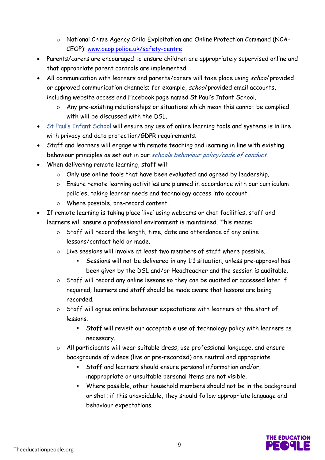- o National Crime Agency Child Exploitation and Online Protection Command (NCA-CEOP): www.ceop.police.uk/safety-centre
- Parents/carers are encouraged to ensure children are appropriately supervised online and that appropriate parent controls are implemented.
- All communication with learners and parents/carers will take place using school provided or approved communication channels; for example, school provided email accounts, including website access and Facebook page named St Paul's Infant School.
	- o Any pre-existing relationships or situations which mean this cannot be complied with will be discussed with the DSL.
- St Paul's Infant School will ensure any use of online learning tools and systems is in line with privacy and data protection/GDPR requirements.
- Staff and learners will engage with remote teaching and learning in line with existing behaviour principles as set out in our schools behaviour policy/code of conduct.
- When delivering remote learning, staff will:
	- o Only use online tools that have been evaluated and agreed by leadership.
	- o Ensure remote learning activities are planned in accordance with our curriculum policies, taking learner needs and technology access into account.
	- o Where possible, pre-record content.
- If remote learning is taking place 'live' using webcams or chat facilities, staff and learners will ensure a professional environment is maintained. This means:
	- o Staff will record the length, time, date and attendance of any online lessons/contact held or made.
	- o Live sessions will involve at least two members of staff where possible.
		- § Sessions will not be delivered in any 1:1 situation, unless pre-approval has been given by the DSL and/or Headteacher and the session is auditable.
	- o Staff will record any online lessons so they can be audited or accessed later if required; learners and staff should be made aware that lessons are being recorded.
	- o Staff will agree online behaviour expectations with learners at the start of lessons.
		- § Staff will revisit our acceptable use of technology policy with learners as necessary.
	- o All participants will wear suitable dress, use professional language, and ensure backgrounds of videos (live or pre-recorded) are neutral and appropriate.
		- § Staff and learners should ensure personal information and/or, inappropriate or unsuitable personal items are not visible.
		- § Where possible, other household members should not be in the background or shot; if this unavoidable, they should follow appropriate language and behaviour expectations.

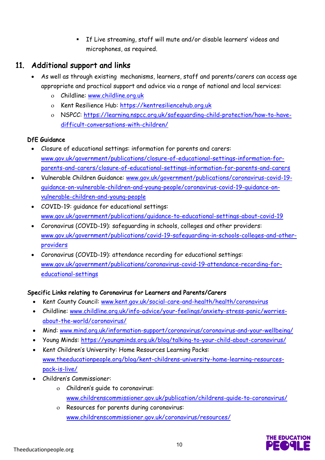§ If Live streaming, staff will mute and/or disable learners' videos and microphones, as required.

#### 11. Additional support and links

- As well as through existing mechanisms, learners, staff and parents/carers can access age appropriate and practical support and advice via a range of national and local services:
	- o Childline: www.childline.org.uk
	- o Kent Resilience Hub: https://kentresiliencehub.org.uk
	- o NSPCC: https://learning.nspcc.org.uk/safeguarding-child-protection/how-to-havedifficult-conversations-with-children/

#### DfE Guidance

- Closure of educational settings: information for parents and carers: www.gov.uk/government/publications/closure-of-educational-settings-information-forparents-and-carers/closure-of-educational-settings-information-for-parents-and-carers
- Vulnerable Children Guidance: www.gov.uk/government/publications/coronavirus-covid-19 guidance-on-vulnerable-children-and-young-people/coronavirus-covid-19-guidance-onvulnerable-children-and-young-people
- COVID-19: guidance for educational settings: www.gov.uk/government/publications/guidance-to-educational-settings-about-covid-19
- Coronavirus (COVID-19): safeguarding in schools, colleges and other providers: www.gov.uk/government/publications/covid-19-safeguarding-in-schools-colleges-and-otherproviders
- Coronavirus (COVID-19): attendance recording for educational settings: www.gov.uk/government/publications/coronavirus-covid-19-attendance-recording-foreducational-settings

#### Specific Links relating to Coronavirus for Learners and Parents/Carers

- Kent County Council: www.kent.gov.uk/social-care-and-health/health/coronavirus
- Childline: www.childline.org.uk/info-advice/your-feelings/anxiety-stress-panic/worriesabout-the-world/coronavirus/
- Mind: www.mind.org.uk/information-support/coronavirus/coronavirus-and-your-wellbeing/
- Young Minds: https://youngminds.org.uk/blog/talking-to-your-child-about-coronavirus/
- Kent Children's University: Home Resources Learning Packs: www.theeducationpeople.org/blog/kent-childrens-university-home-learning-resourcespack-is-live/
- Children's Commissioner:
	- o Children's guide to coronavirus: www.childrenscommissioner.gov.uk/publication/childrens-guide-to-coronavirus/
	- o Resources for parents during coronavirus: www.childrenscommissioner.gov.uk/coronavirus/resources/